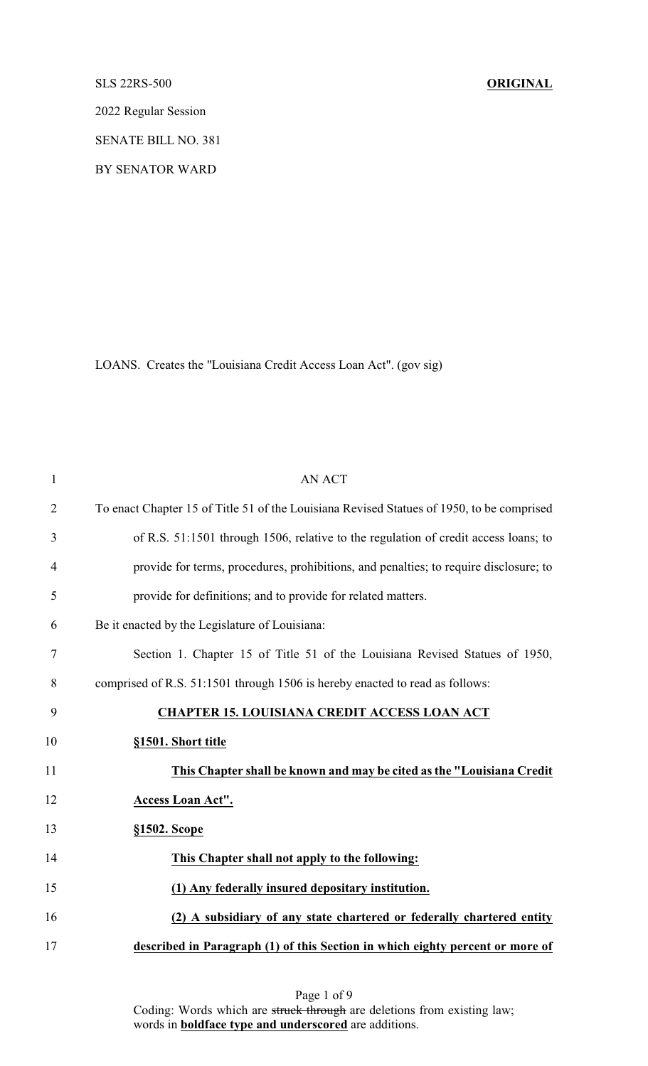## SLS 22RS-500 **ORIGINAL**

2022 Regular Session

SENATE BILL NO. 381

BY SENATOR WARD

LOANS. Creates the "Louisiana Credit Access Loan Act". (gov sig)

| $\mathbf{1}$   | <b>AN ACT</b>                                                                             |
|----------------|-------------------------------------------------------------------------------------------|
| $\overline{2}$ | To enact Chapter 15 of Title 51 of the Louisiana Revised Statues of 1950, to be comprised |
| 3              | of R.S. 51:1501 through 1506, relative to the regulation of credit access loans; to       |
| 4              | provide for terms, procedures, prohibitions, and penalties; to require disclosure; to     |
| 5              | provide for definitions; and to provide for related matters.                              |
| 6              | Be it enacted by the Legislature of Louisiana:                                            |
| 7              | Section 1. Chapter 15 of Title 51 of the Louisiana Revised Statues of 1950,               |
| 8              | comprised of R.S. 51:1501 through 1506 is hereby enacted to read as follows:              |
| 9              | <b>CHAPTER 15. LOUISIANA CREDIT ACCESS LOAN ACT</b>                                       |
| 10             | §1501. Short title                                                                        |
| 11             | This Chapter shall be known and may be cited as the "Louisiana Credit"                    |
| 12             | Access Loan Act".                                                                         |
| 13             | §1502. Scope                                                                              |
| 14             | This Chapter shall not apply to the following:                                            |
| 15             | (1) Any federally insured depositary institution.                                         |
| 16             | (2) A subsidiary of any state chartered or federally chartered entity                     |
| 17             | described in Paragraph (1) of this Section in which eighty percent or more of             |

Page 1 of 9 Coding: Words which are struck through are deletions from existing law; words in **boldface type and underscored** are additions.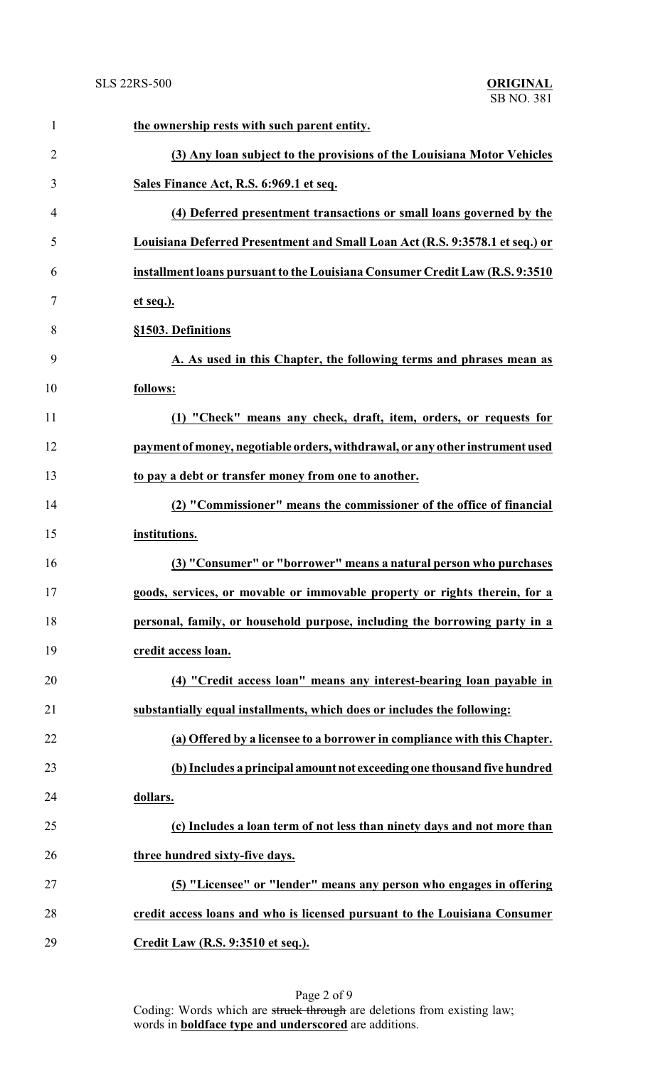| $\mathbf{1}$   | the ownership rests with such parent entity.                                  |
|----------------|-------------------------------------------------------------------------------|
| $\overline{2}$ | (3) Any loan subject to the provisions of the Louisiana Motor Vehicles        |
| 3              | Sales Finance Act, R.S. 6:969.1 et seq.                                       |
| 4              | (4) Deferred presentment transactions or small loans governed by the          |
| 5              | Louisiana Deferred Presentment and Small Loan Act (R.S. 9:3578.1 et seq.) or  |
| 6              | installment loans pursuant to the Louisiana Consumer Credit Law (R.S. 9:3510  |
| 7              | et seq.).                                                                     |
| 8              | §1503. Definitions                                                            |
| 9              | A. As used in this Chapter, the following terms and phrases mean as           |
| 10             | follows:                                                                      |
| 11             | (1) "Check" means any check, draft, item, orders, or requests for             |
| 12             | payment of money, negotiable orders, withdrawal, or any other instrument used |
| 13             | to pay a debt or transfer money from one to another.                          |
| 14             | (2) "Commissioner" means the commissioner of the office of financial          |
| 15             | institutions.                                                                 |
| 16             | (3) "Consumer" or "borrower" means a natural person who purchases             |
| 17             | goods, services, or movable or immovable property or rights therein, for a    |
| 18             | personal, family, or household purpose, including the borrowing party in a    |
| 19             | credit access loan.                                                           |
| 20             | (4) "Credit access loan" means any interest-bearing loan payable in           |
| 21             | substantially equal installments, which does or includes the following:       |
| 22             | (a) Offered by a licensee to a borrower in compliance with this Chapter.      |
| 23             | (b) Includes a principal amount not exceeding one thousand five hundred       |
| 24             | dollars.                                                                      |
| 25             | (c) Includes a loan term of not less than ninety days and not more than       |
| 26             | three hundred sixty-five days.                                                |
| 27             | (5) "Licensee" or "lender" means any person who engages in offering           |
| 28             | credit access loans and who is licensed pursuant to the Louisiana Consumer    |
| 29             | Credit Law (R.S. 9:3510 et seq.).                                             |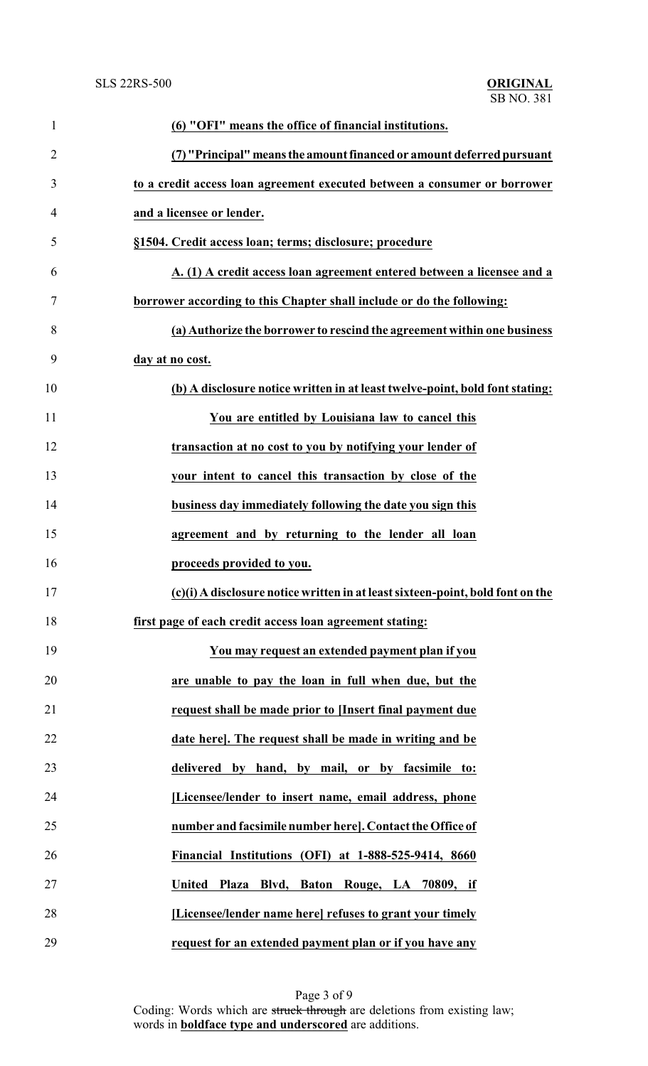| $\mathbf{1}$   | (6) "OFI" means the office of financial institutions.                          |
|----------------|--------------------------------------------------------------------------------|
| $\overline{2}$ | (7) "Principal" means the amount financed or amount deferred pursuant          |
| 3              | to a credit access loan agreement executed between a consumer or borrower      |
| 4              | and a licensee or lender.                                                      |
| 5              | §1504. Credit access loan; terms; disclosure; procedure                        |
| 6              | A. (1) A credit access loan agreement entered between a licensee and a         |
| 7              | borrower according to this Chapter shall include or do the following:          |
| 8              | (a) Authorize the borrower to rescind the agreement within one business        |
| 9              | day at no cost.                                                                |
| 10             | (b) A disclosure notice written in at least twelve-point, bold font stating:   |
| 11             | You are entitled by Louisiana law to cancel this                               |
| 12             | transaction at no cost to you by notifying your lender of                      |
| 13             | your intent to cancel this transaction by close of the                         |
| 14             | business day immediately following the date you sign this                      |
| 15             | agreement and by returning to the lender all loan                              |
| 16             | proceeds provided to you.                                                      |
| 17             | (c)(i) A disclosure notice written in at least sixteen-point, bold font on the |
| 18             | first page of each credit access loan agreement stating:                       |
| 19             | You may request an extended payment plan if you                                |
| 20             | are unable to pay the loan in full when due, but the                           |
| 21             | request shall be made prior to [Insert final payment due                       |
| 22             | date here]. The request shall be made in writing and be                        |
| 23             | delivered by hand, by mail, or by facsimile to:                                |
| 24             | [Licensee/lender to insert name, email address, phone                          |
| 25             | number and facsimile number here]. Contact the Office of                       |
| 26             | Financial Institutions (OFI) at 1-888-525-9414, 8660                           |
| 27             | <b>United</b><br>Plaza<br>Blvd, Baton<br>Rouge, LA 70809, if                   |
| 28             | [Licensee/lender name here] refuses to grant your timely                       |
| 29             | request for an extended payment plan or if you have any                        |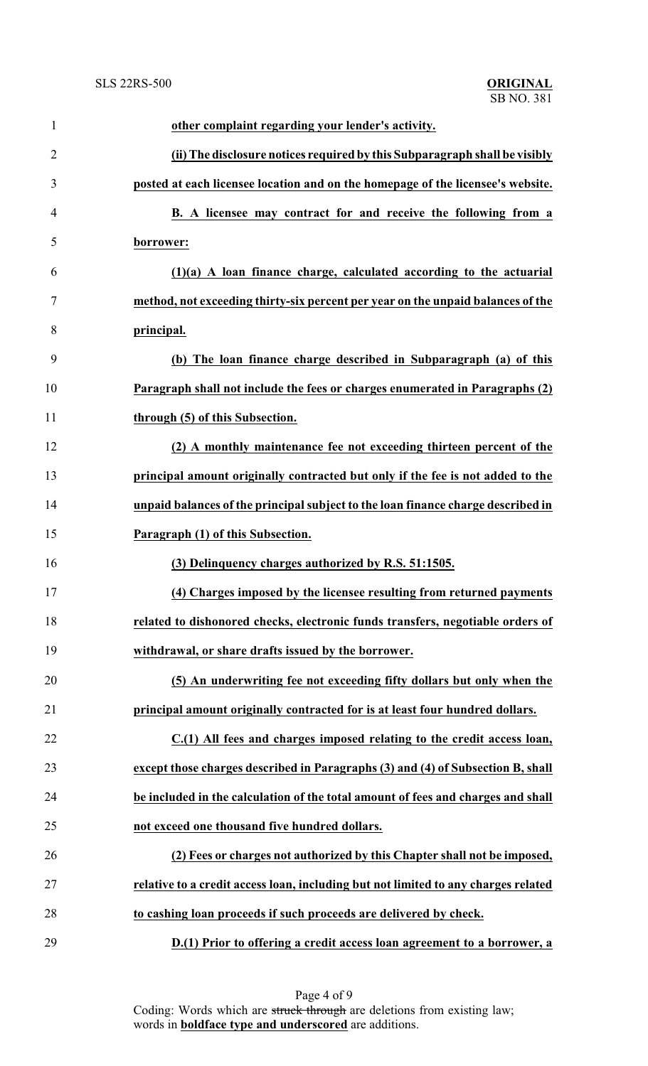| 1              | other complaint regarding your lender's activity.                                  |
|----------------|------------------------------------------------------------------------------------|
| $\overline{2}$ | (ii) The disclosure notices required by this Subparagraph shall be visibly         |
| 3              | posted at each licensee location and on the homepage of the licensee's website.    |
| 4              | B. A licensee may contract for and receive the following from a                    |
| 5              | borrower:                                                                          |
| 6              | $(1)(a)$ A loan finance charge, calculated according to the actuarial              |
| 7              | method, not exceeding thirty-six percent per year on the unpaid balances of the    |
| 8              | principal.                                                                         |
| 9              | (b) The loan finance charge described in Subparagraph (a) of this                  |
| 10             | Paragraph shall not include the fees or charges enumerated in Paragraphs (2)       |
| 11             | through (5) of this Subsection.                                                    |
| 12             | (2) A monthly maintenance fee not exceeding thirteen percent of the                |
| 13             | principal amount originally contracted but only if the fee is not added to the     |
| 14             | unpaid balances of the principal subject to the loan finance charge described in   |
| 15             | Paragraph (1) of this Subsection.                                                  |
| 16             | (3) Delinquency charges authorized by R.S. 51:1505.                                |
| 17             | (4) Charges imposed by the licensee resulting from returned payments               |
| 18             | related to dishonored checks, electronic funds transfers, negotiable orders of     |
| 19             | withdrawal, or share drafts issued by the borrower.                                |
| 20             | (5) An underwriting fee not exceeding fifty dollars but only when the              |
| 21             | principal amount originally contracted for is at least four hundred dollars.       |
| 22             | C.(1) All fees and charges imposed relating to the credit access loan,             |
| 23             | except those charges described in Paragraphs (3) and (4) of Subsection B, shall    |
| 24             | be included in the calculation of the total amount of fees and charges and shall   |
| 25             | not exceed one thousand five hundred dollars.                                      |
| 26             | (2) Fees or charges not authorized by this Chapter shall not be imposed,           |
| 27             | relative to a credit access loan, including but not limited to any charges related |
| 28             | to cashing loan proceeds if such proceeds are delivered by check.                  |
| 29             | D.(1) Prior to offering a credit access loan agreement to a borrower, a            |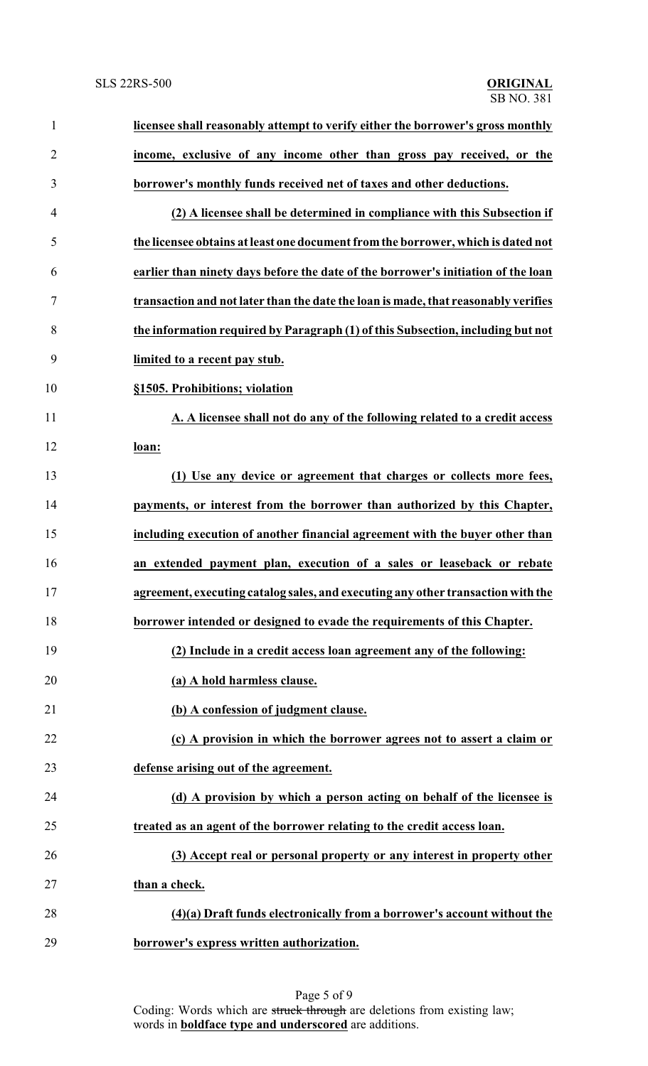| $\mathbf{1}$   | licensee shall reasonably attempt to verify either the borrower's gross monthly    |
|----------------|------------------------------------------------------------------------------------|
| $\overline{c}$ | income, exclusive of any income other than gross pay received, or the              |
| 3              | borrower's monthly funds received net of taxes and other deductions.               |
| $\overline{4}$ | (2) A licensee shall be determined in compliance with this Subsection if           |
| 5              | the licensee obtains at least one document from the borrower, which is dated not   |
| 6              | earlier than ninety days before the date of the borrower's initiation of the loan  |
| $\tau$         | transaction and not later than the date the loan is made, that reasonably verifies |
| 8              | the information required by Paragraph (1) of this Subsection, including but not    |
| 9              | limited to a recent pay stub.                                                      |
| 10             | §1505. Prohibitions; violation                                                     |
| 11             | A. A licensee shall not do any of the following related to a credit access         |
| 12             | loan:                                                                              |
| 13             | (1) Use any device or agreement that charges or collects more fees,                |
| 14             | payments, or interest from the borrower than authorized by this Chapter,           |
| 15             | including execution of another financial agreement with the buyer other than       |
| 16             | an extended payment plan, execution of a sales or leaseback or rebate              |
| 17             | agreement, executing catalog sales, and executing any other transaction with the   |
| 18             | borrower intended or designed to evade the requirements of this Chapter.           |
| 19             | (2) Include in a credit access loan agreement any of the following:                |
| 20             | (a) A hold harmless clause.                                                        |
| 21             | (b) A confession of judgment clause.                                               |
| 22             | (c) A provision in which the borrower agrees not to assert a claim or              |
| 23             | defense arising out of the agreement.                                              |
| 24             | (d) A provision by which a person acting on behalf of the licensee is              |
| 25             | treated as an agent of the borrower relating to the credit access loan.            |
| 26             | (3) Accept real or personal property or any interest in property other             |
| 27             | than a check.                                                                      |
| 28             | (4)(a) Draft funds electronically from a borrower's account without the            |
| 29             | borrower's express written authorization.                                          |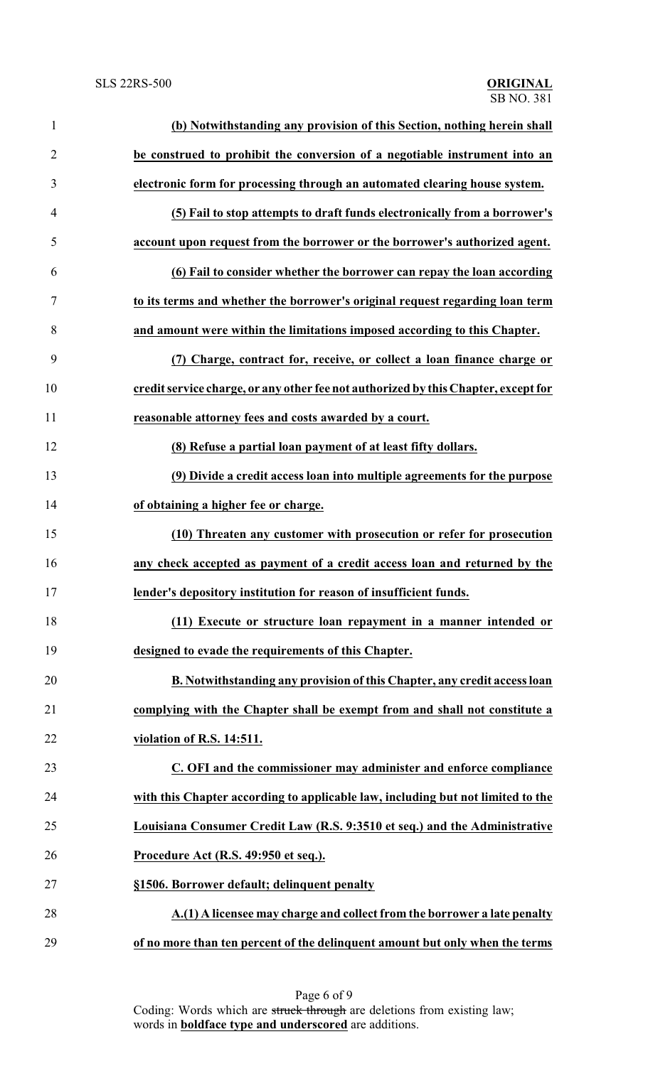| $\mathbf{1}$   | (b) Notwithstanding any provision of this Section, nothing herein shall            |
|----------------|------------------------------------------------------------------------------------|
| $\overline{2}$ | be construed to prohibit the conversion of a negotiable instrument into an         |
| 3              | electronic form for processing through an automated clearing house system.         |
| 4              | (5) Fail to stop attempts to draft funds electronically from a borrower's          |
| 5              | account upon request from the borrower or the borrower's authorized agent.         |
| 6              | (6) Fail to consider whether the borrower can repay the loan according             |
| 7              | to its terms and whether the borrower's original request regarding loan term       |
| 8              | and amount were within the limitations imposed according to this Chapter.          |
| 9              | (7) Charge, contract for, receive, or collect a loan finance charge or             |
| 10             | credit service charge, or any other fee not authorized by this Chapter, except for |
| 11             | reasonable attorney fees and costs awarded by a court.                             |
| 12             | (8) Refuse a partial loan payment of at least fifty dollars.                       |
| 13             | (9) Divide a credit access loan into multiple agreements for the purpose           |
| 14             | of obtaining a higher fee or charge.                                               |
| 15             | (10) Threaten any customer with prosecution or refer for prosecution               |
| 16             | any check accepted as payment of a credit access loan and returned by the          |
| 17             | lender's depository institution for reason of insufficient funds.                  |
| 18             | (11) Execute or structure loan repayment in a manner intended or                   |
| 19             | designed to evade the requirements of this Chapter.                                |
| 20             | B. Notwithstanding any provision of this Chapter, any credit access loan           |
| 21             | complying with the Chapter shall be exempt from and shall not constitute a         |
| 22             | violation of R.S. 14:511.                                                          |
| 23             | C. OFI and the commissioner may administer and enforce compliance                  |
| 24             | with this Chapter according to applicable law, including but not limited to the    |
| 25             | Louisiana Consumer Credit Law (R.S. 9:3510 et seq.) and the Administrative         |
| 26             | Procedure Act (R.S. 49:950 et seq.).                                               |
| 27             | §1506. Borrower default; delinquent penalty                                        |
| 28             | A.(1) A licensee may charge and collect from the borrower a late penalty           |
| 29             | of no more than ten percent of the delinquent amount but only when the terms       |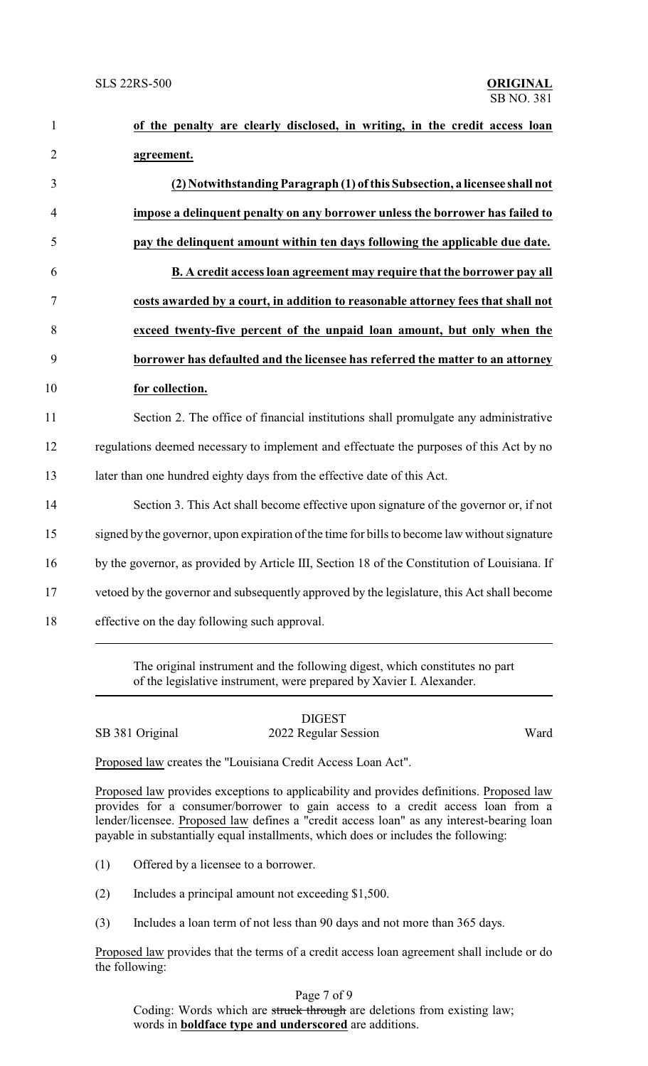| of the penalty are clearly disclosed, in writing, in the credit access loan                   |
|-----------------------------------------------------------------------------------------------|
| agreement.                                                                                    |
| (2) Notwithstanding Paragraph (1) of this Subsection, a licensee shall not                    |
| impose a delinquent penalty on any borrower unless the borrower has failed to                 |
| pay the delinquent amount within ten days following the applicable due date.                  |
| B. A credit access loan agreement may require that the borrower pay all                       |
| costs awarded by a court, in addition to reasonable attorney fees that shall not              |
| exceed twenty-five percent of the unpaid loan amount, but only when the                       |
| borrower has defaulted and the licensee has referred the matter to an attorney                |
| for collection.                                                                               |
| Section 2. The office of financial institutions shall promulgate any administrative           |
| regulations deemed necessary to implement and effectuate the purposes of this Act by no       |
| later than one hundred eighty days from the effective date of this Act.                       |
| Section 3. This Act shall become effective upon signature of the governor or, if not          |
| signed by the governor, upon expiration of the time for bills to become law without signature |
| by the governor, as provided by Article III, Section 18 of the Constitution of Louisiana. If  |
| vetoed by the governor and subsequently approved by the legislature, this Act shall become    |
| effective on the day following such approval.                                                 |

The original instrument and the following digest, which constitutes no part of the legislative instrument, were prepared by Xavier I. Alexander.

## DIGEST

SB 381 Original 2022 Regular Session Ward

Proposed law creates the "Louisiana Credit Access Loan Act".

Proposed law provides exceptions to applicability and provides definitions. Proposed law provides for a consumer/borrower to gain access to a credit access loan from a lender/licensee. Proposed law defines a "credit access loan" as any interest-bearing loan payable in substantially equal installments, which does or includes the following:

- (1) Offered by a licensee to a borrower.
- (2) Includes a principal amount not exceeding \$1,500.
- (3) Includes a loan term of not less than 90 days and not more than 365 days.

Proposed law provides that the terms of a credit access loan agreement shall include or do the following:

Page 7 of 9

Coding: Words which are struck through are deletions from existing law; words in **boldface type and underscored** are additions.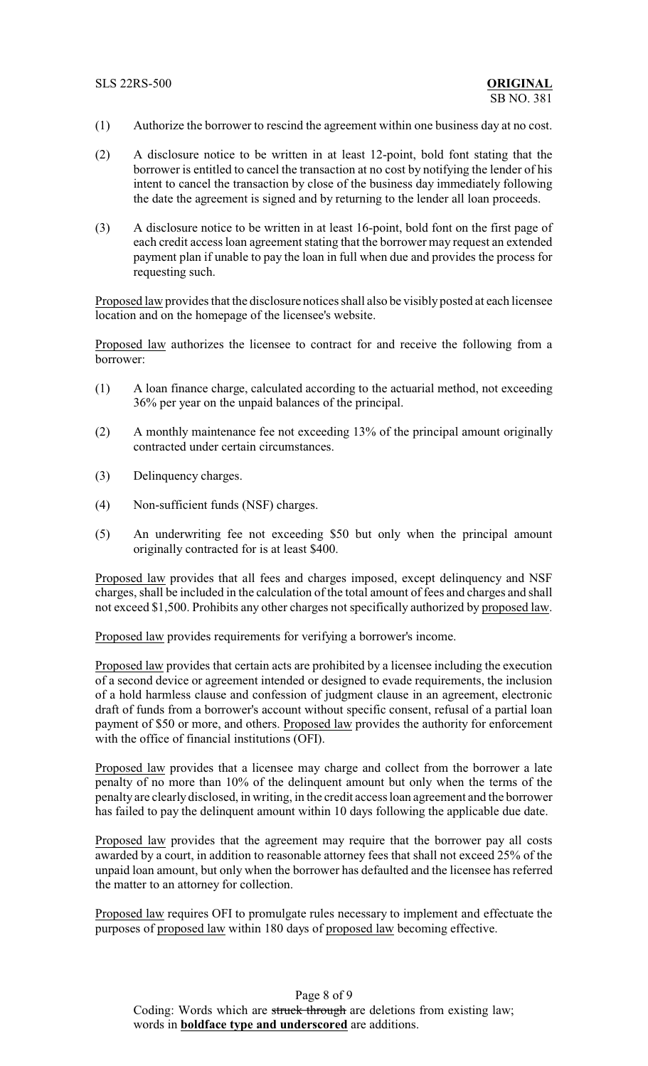- (1) Authorize the borrower to rescind the agreement within one business day at no cost.
- (2) A disclosure notice to be written in at least 12-point, bold font stating that the borrower is entitled to cancel the transaction at no cost by notifying the lender of his intent to cancel the transaction by close of the business day immediately following the date the agreement is signed and by returning to the lender all loan proceeds.
- (3) A disclosure notice to be written in at least 16-point, bold font on the first page of each credit access loan agreement stating that the borrower may request an extended payment plan if unable to pay the loan in full when due and provides the process for requesting such.

Proposed law provides that the disclosure notices shall also be visibly posted at each licensee location and on the homepage of the licensee's website.

Proposed law authorizes the licensee to contract for and receive the following from a borrower:

- (1) A loan finance charge, calculated according to the actuarial method, not exceeding 36% per year on the unpaid balances of the principal.
- (2) A monthly maintenance fee not exceeding 13% of the principal amount originally contracted under certain circumstances.
- (3) Delinquency charges.
- (4) Non-sufficient funds (NSF) charges.
- (5) An underwriting fee not exceeding \$50 but only when the principal amount originally contracted for is at least \$400.

Proposed law provides that all fees and charges imposed, except delinquency and NSF charges, shall be included in the calculation of the total amount of fees and charges and shall not exceed \$1,500. Prohibits any other charges not specifically authorized by proposed law.

Proposed law provides requirements for verifying a borrower's income.

Proposed law provides that certain acts are prohibited by a licensee including the execution of a second device or agreement intended or designed to evade requirements, the inclusion of a hold harmless clause and confession of judgment clause in an agreement, electronic draft of funds from a borrower's account without specific consent, refusal of a partial loan payment of \$50 or more, and others. Proposed law provides the authority for enforcement with the office of financial institutions (OFI).

Proposed law provides that a licensee may charge and collect from the borrower a late penalty of no more than 10% of the delinquent amount but only when the terms of the penalty are clearly disclosed, in writing, in the credit access loan agreement and the borrower has failed to pay the delinquent amount within 10 days following the applicable due date.

Proposed law provides that the agreement may require that the borrower pay all costs awarded by a court, in addition to reasonable attorney fees that shall not exceed 25% of the unpaid loan amount, but only when the borrower has defaulted and the licensee has referred the matter to an attorney for collection.

Proposed law requires OFI to promulgate rules necessary to implement and effectuate the purposes of proposed law within 180 days of proposed law becoming effective.